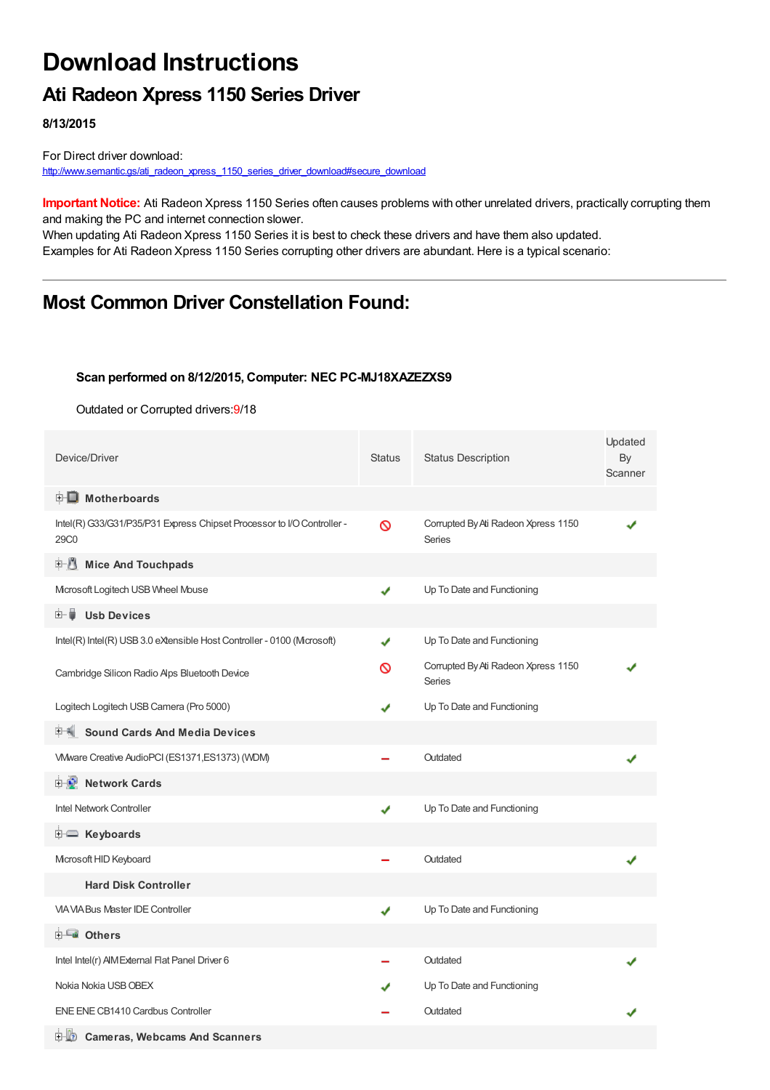## **Download Instructions**

## **Ati Radeon Xpress 1150 Series Driver**

**8/13/2015**

For Direct driver download: [http://www.semantic.gs/ati\\_radeon\\_xpress\\_1150\\_series\\_driver\\_download#secure\\_download](http://www.semantic.gs/ati_radeon_xpress_1150_series_driver_download#secure_download)

**Important Notice:** Ati Radeon Xpress 1150 Series often causes problems with other unrelated drivers, practically corrupting them and making the PC and internet connection slower.

When updating Ati Radeon Xpress 1150 Series it is best to check these drivers and have them also updated. Examples for Ati Radeon Xpress 1150 Series corrupting other drivers are abundant. Here is a typical scenario:

## **Most Common Driver Constellation Found:**

#### **Scan performed on 8/12/2015, Computer: NEC PC-MJ18XAZEZXS9**

Outdated or Corrupted drivers:9/18

| Device/Driver                                                                              | <b>Status</b> | <b>Status Description</b>                            | Updated<br>By<br>Scanner |
|--------------------------------------------------------------------------------------------|---------------|------------------------------------------------------|--------------------------|
| <b>E</b> Motherboards                                                                      |               |                                                      |                          |
| Intel(R) G33/G31/P35/P31 Express Chipset Processor to I/O Controller -<br>29C <sub>0</sub> | ଷ             | Corrupted By Ati Radeon Xpress 1150<br><b>Series</b> |                          |
| 中心<br><b>Mice And Touchpads</b>                                                            |               |                                                      |                          |
| Microsoft Logitech USB Wheel Mouse                                                         | ✔             | Up To Date and Functioning                           |                          |
| 田… ■<br><b>Usb Devices</b>                                                                 |               |                                                      |                          |
| Intel(R) Intel(R) USB 3.0 eXtensible Host Controller - 0100 (Mcrosoft)                     | ✔             | Up To Date and Functioning                           |                          |
| Cambridge Silicon Radio Aps Bluetooth Device                                               | ∾             | Corrupted By Ati Radeon Xpress 1150<br>Series        |                          |
| Logitech Logitech USB Camera (Pro 5000)                                                    |               | Up To Date and Functioning                           |                          |
| <b>Sound Cards And Media Devices</b><br>甲偶.                                                |               |                                                      |                          |
| VMware Creative AudioPCI (ES1371, ES1373) (WDM)                                            |               | Outdated                                             |                          |
| <b>E-2</b> Network Cards                                                                   |               |                                                      |                          |
| <b>Intel Network Controller</b>                                                            | ✔             | Up To Date and Functioning                           |                          |
| <b>E</b> Keyboards                                                                         |               |                                                      |                          |
| Microsoft HID Keyboard                                                                     |               | Outdated                                             |                          |
| <b>Hard Disk Controller</b>                                                                |               |                                                      |                          |
| <b>VIA VIA Bus Master IDE Controller</b>                                                   | ✔             | Up To Date and Functioning                           |                          |
| <b>⊞-≞∎ Others</b>                                                                         |               |                                                      |                          |
| Intel Intel(r) AIM External Flat Panel Driver 6                                            |               | Outdated                                             |                          |
| Nokia Nokia USB OBEX                                                                       |               | Up To Date and Functioning                           |                          |
| ENE ENE CB1410 Cardbus Controller                                                          |               | Outdated                                             |                          |
| 白 的<br><b>Cameras, Webcams And Scanners</b>                                                |               |                                                      |                          |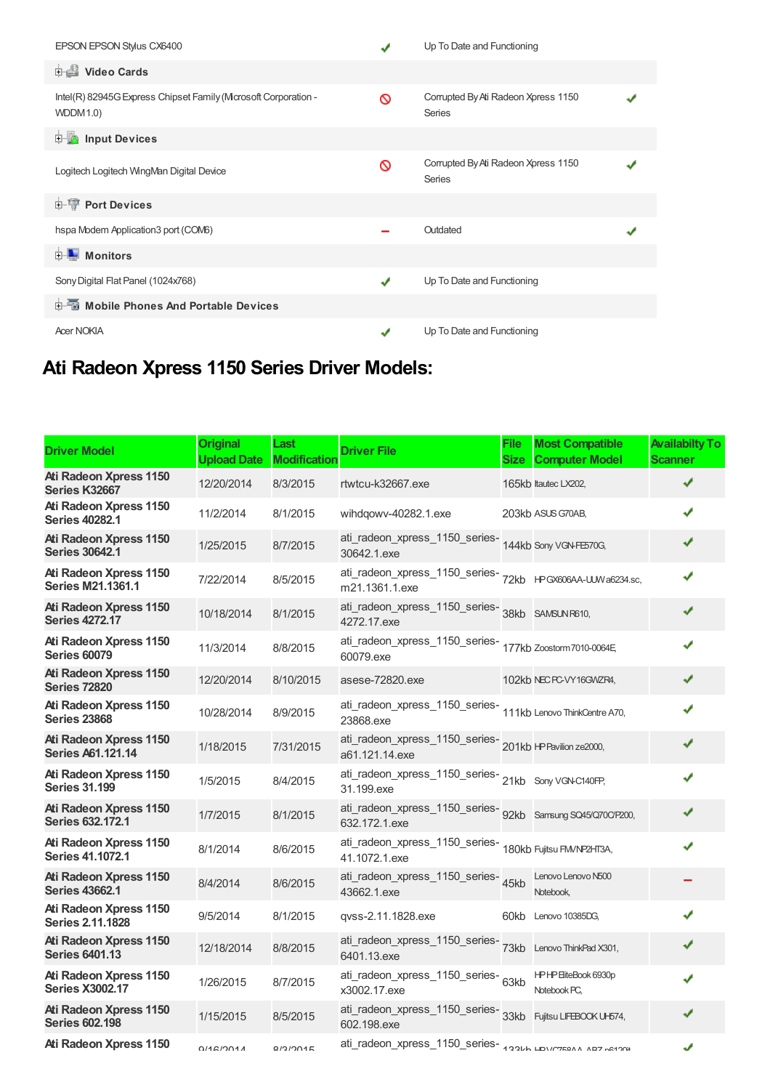| EPSON EPSON Stylus CX6400                                                         |               | Up To Date and Functioning                           |  |
|-----------------------------------------------------------------------------------|---------------|------------------------------------------------------|--|
| <b>Dideo Cards</b>                                                                |               |                                                      |  |
| Intel(R) 82945G Express Chipset Family (Mcrosoft Corporation -<br><b>WDDM1.0)</b> | ര             | Corrupted By Ati Radeon Xpress 1150<br><b>Series</b> |  |
| <b>E</b> Input Devices                                                            |               |                                                      |  |
| Logitech Logitech WingMan Digital Device                                          | ∾             | Corrupted By Ati Radeon Xpress 1150<br><b>Series</b> |  |
| <b>E-1</b> Port Devices                                                           |               |                                                      |  |
| hspa Modem Application3 port (COM6)                                               |               | Outdated                                             |  |
| <b>Monitors</b>                                                                   |               |                                                      |  |
| Sony Digital Flat Panel (1024x768)                                                | ✔             | Up To Date and Functioning                           |  |
| <b>E-</b> Mobile Phones And Portable Devices                                      |               |                                                      |  |
| <b>Acer NOKIA</b>                                                                 | $\mathcal{L}$ | Up To Date and Functioning                           |  |

# **Ati Radeon Xpress 1150 Series Driver Models:**

| <b>Driver Model</b>                                       | <b>Original</b><br><b>Upload Date</b> | Last<br><b>Modification</b> | <b>Driver File</b>                                                                 | <b>File</b><br>Size | <b>Most Compatible</b><br><b>Computer Model</b> | <b>Availabilty To</b><br><b>Scanner</b> |
|-----------------------------------------------------------|---------------------------------------|-----------------------------|------------------------------------------------------------------------------------|---------------------|-------------------------------------------------|-----------------------------------------|
| Ati Radeon Xpress 1150<br>Series K32667                   | 12/20/2014                            | 8/3/2015                    | rtwtcu-k32667.exe                                                                  |                     | 165kb Itautec LX202,                            | ✔                                       |
| Ati Radeon Xpress 1150<br><b>Series 40282.1</b>           | 11/2/2014                             | 8/1/2015                    | wihdqowv-40282.1.exe                                                               |                     | 203kb ASUS G70AB,                               |                                         |
| <b>Ati Radeon Xpress 1150</b><br><b>Series 30642.1</b>    | 1/25/2015                             | 8/7/2015                    | ati_radeon_xpress_1150_series-<br>144kb Sony VGN-FE570G,<br>30642.1.exe            |                     |                                                 | ✔                                       |
| Ati Radeon Xpress 1150<br><b>Series M21.1361.1</b>        | 7/22/2014                             | 8/5/2015                    | ati_radeon_xpress_1150_series-<br>72kb    HPGX606AA-UJWa6234.sc,<br>m21.1361.1.exe |                     |                                                 | ✔                                       |
| <b>Ati Radeon Xpress 1150</b><br><b>Series 4272.17</b>    | 10/18/2014                            | 8/1/2015                    | ati_radeon_xpress_1150_series-<br>38kb SAMSUNR610,<br>4272.17.exe                  |                     |                                                 |                                         |
| Ati Radeon Xpress 1150<br><b>Series 60079</b>             | 11/3/2014                             | 8/8/2015                    | ati_radeon_xpress_1150_series-<br>177kb Zoostorm7010-0064E<br>60079.exe            |                     |                                                 |                                         |
| <b>Ati Radeon Xpress 1150</b><br><b>Series 72820</b>      | 12/20/2014                            | 8/10/2015                   | asese-72820.exe                                                                    |                     | 102kb NEC PC-VY16GWZR4,                         | ✔                                       |
| Ati Radeon Xpress 1150<br><b>Series 23868</b>             | 10/28/2014                            | 8/9/2015                    | ati_radeon_xpress_1150_series-<br>111kb Lenovo ThinkCentre A70,<br>23868.exe       |                     |                                                 |                                         |
| <b>Ati Radeon Xpress 1150</b><br><b>Series A61.121.14</b> | 1/18/2015                             | 7/31/2015                   | ati_radeon_xpress_1150_series-<br>201kb I+P Pavilion ze2000,<br>a61.121.14.exe     |                     |                                                 |                                         |
| Ati Radeon Xpress 1150<br><b>Series 31.199</b>            | 1/5/2015                              | 8/4/2015                    | ati_radeon_xpress_1150_series-<br>21kb Sony VGN-C140FP,<br>31.199.exe              |                     |                                                 |                                         |
| Ati Radeon Xpress 1150<br><b>Series 632.172.1</b>         | 1/7/2015                              | 8/1/2015                    | ati_radeon_xpress_1150_series-<br>92kb Samsung SQ45/Q70CP200,<br>632.172.1.exe     |                     |                                                 |                                         |
| Ati Radeon Xpress 1150<br><b>Series 41.1072.1</b>         | 8/1/2014                              | 8/6/2015                    | ati_radeon_xpress_1150_series-<br>180kb Fujitsu FM/NP2HT3A,<br>41.1072.1.exe       |                     |                                                 |                                         |
| <b>Ati Radeon Xpress 1150</b><br><b>Series 43662.1</b>    | 8/4/2014                              | 8/6/2015                    | ati_radeon_xpress_1150_series-<br>43662.1.exe                                      | 45kb                | Lenovo Lenovo N500<br>Notebook,                 |                                         |
| Ati Radeon Xpress 1150<br><b>Series 2.11.1828</b>         | 9/5/2014                              | 8/1/2015                    | qvss-2.11.1828.exe                                                                 |                     | 60kb Lenovo 10385DG,                            |                                         |
| Ati Radeon Xpress 1150<br><b>Series 6401.13</b>           | 12/18/2014                            | 8/8/2015                    | ati_radeon_xpress_1150_series-<br>73kb Lenovo ThinkPad X301,<br>6401.13.exe        |                     |                                                 |                                         |
| Ati Radeon Xpress 1150<br><b>Series X3002.17</b>          | 1/26/2015                             | 8/7/2015                    | ati_radeon_xpress_1150_series-63kb<br>x3002.17.exe                                 |                     | HPHP EiteBook 6930p<br>Notebook PC,             |                                         |
| <b>Ati Radeon Xpress 1150</b><br><b>Series 602.198</b>    | 1/15/2015                             | 8/5/2015                    | ati_radeon_xpress_1150_series-<br>33kb Fujitsu LIFEBOOK UH574,<br>602.198.exe      |                     |                                                 |                                         |
| Ati Radeon Xpress 1150                                    | 014C1004A                             | 0191004E                    | ati_radeon_xpress_1150_series-300Lk LDV/C750AA AD7-0410GH                          |                     |                                                 | J                                       |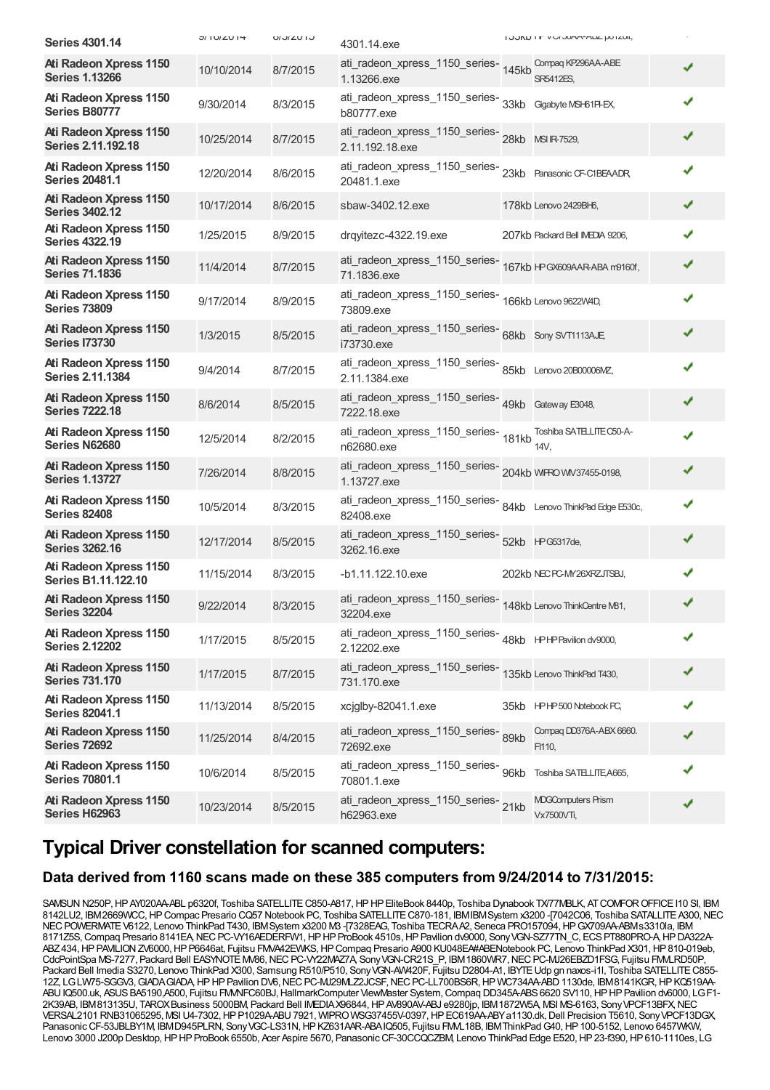| <b>Series 4301.14</b>                                  | $U = 100 \times 10^{14}$ | U / U / U / U | 4301.14.exe                                                                     | I JUNU FIT VIU JOHN-HIDL UU ILUIL,      |   |
|--------------------------------------------------------|--------------------------|---------------|---------------------------------------------------------------------------------|-----------------------------------------|---|
| <b>Ati Radeon Xpress 1150</b><br><b>Series 1.13266</b> | 10/10/2014               | 8/7/2015      | ati_radeon_xpress_1150_series-145kb<br>1.13266.exe                              | Compag KP296AA-ABE<br><b>SR5412ES.</b>  | ✔ |
| Ati Radeon Xpress 1150<br><b>Series B80777</b>         | 9/30/2014                | 8/3/2015      | ati_radeon_xpress_1150_series-<br>33kb Gigabyte MSH61P-EX,<br>b80777.exe        |                                         | ✔ |
| Ati Radeon Xpress 1150<br><b>Series 2.11.192.18</b>    | 10/25/2014               | 8/7/2015      | ati_radeon_xpress_1150_series-<br>28kb MSIR-7529,<br>2.11.192.18.exe            |                                         | ✔ |
| Ati Radeon Xpress 1150<br><b>Series 20481.1</b>        | 12/20/2014               | 8/6/2015      | ati_radeon_xpress_1150_series-<br>23kb Panasonic CF-C1BEAADR,<br>20481.1.exe    |                                         | ✔ |
| <b>Ati Radeon Xpress 1150</b><br><b>Series 3402.12</b> | 10/17/2014               | 8/6/2015      | sbaw-3402.12.exe                                                                | 178kb Lenovo 2429BH6,                   | ✔ |
| Ati Radeon Xpress 1150<br><b>Series 4322.19</b>        | 1/25/2015                | 8/9/2015      | drqyitezc-4322.19.exe                                                           | 207kb Packard Bell IMEDIA 9206,         | ✔ |
| Ati Radeon Xpress 1150<br><b>Series 71.1836</b>        | 11/4/2014                | 8/7/2015      | 71.1836.exe                                                                     |                                         | ✔ |
| Ati Radeon Xpress 1150<br><b>Series 73809</b>          | 9/17/2014                | 8/9/2015      | ati_radeon_xpress_1150_series-<br>166kb Lenovo 9622W4D,<br>73809.exe            |                                         | ✔ |
| <b>Ati Radeon Xpress 1150</b><br><b>Series I73730</b>  | 1/3/2015                 | 8/5/2015      | ati_radeon_xpress_1150_series-<br>68kb Sony SVT1113AJE<br>i73730.exe            |                                         | ✔ |
| Ati Radeon Xpress 1150<br><b>Series 2.11.1384</b>      | 9/4/2014                 | 8/7/2015      | ati_radeon_xpress_1150_series-<br>85kb Lenovo 20B00006MZ,<br>2.11.1384.exe      |                                         | ✔ |
| <b>Ati Radeon Xpress 1150</b><br><b>Series 7222.18</b> | 8/6/2014                 | 8/5/2015      | ati_radeon_xpress_1150_series-<br>49kb Gateway E3048,<br>7222.18.exe            |                                         | ✔ |
| Ati Radeon Xpress 1150<br>Series N62680                | 12/5/2014                | 8/2/2015      | ati_radeon_xpress_1150_series-<br>ati_radeon_xpress_1150_series-<br>181kb 14V,  | Toshiba SATELLITE C50-A-                |   |
| Ati Radeon Xpress 1150<br><b>Series 1.13727</b>        | 7/26/2014                | 8/8/2015      | ati_radeon_xpress_1150_series-<br>204kb WIFRO WV37455-0198,<br>1.13727.exe      |                                         | ✔ |
| Ati Radeon Xpress 1150<br><b>Series 82408</b>          | 10/5/2014                | 8/3/2015      | ati_radeon_xpress_1150_series-<br>84kb Lenovo ThinkPad Edge E530c,<br>82408.exe |                                         | ✔ |
| Ati Radeon Xpress 1150<br><b>Series 3262.16</b>        | 12/17/2014               | 8/5/2015      | ati_radeon_xpress_1150_series-<br>52kb HPG5317de,<br>3262.16.exe                |                                         | ✔ |
| Ati Radeon Xpress 1150<br>Series B1.11.122.10          | 11/15/2014               | 8/3/2015      | -b1.11.122.10.exe                                                               | 202kb NEC PC-MY26XRZJTSBJ,              |   |
| <b>Ati Radeon Xpress 1150</b><br><b>Series 32204</b>   | 9/22/2014                | 8/3/2015      | ati_radeon_xpress_1150_series-<br>148kb Lenovo ThinkCentre M81,<br>32204.exe    |                                         | ✔ |
| Ati Radeon Xpress 1150<br><b>Series 2.12202</b>        | 1/17/2015                | 8/5/2015      | ati_radeon_xpress_1150_series-<br>48kb    HPHPavilion dv9000,<br>2.12202.exe    |                                         | ✔ |
| Ati Radeon Xpress 1150<br><b>Series 731.170</b>        | 1/17/2015                | 8/7/2015      | ati_radeon_xpress_1150_series-<br>135kb Lenovo ThinkPad T430,<br>731.170.exe    |                                         |   |
| Ati Radeon Xpress 1150<br><b>Series 82041.1</b>        | 11/13/2014               | 8/5/2015      | xcjglby-82041.1.exe                                                             | 35kb HPHP 500 Notebook PC,              |   |
| Ati Radeon Xpress 1150<br><b>Series 72692</b>          | 11/25/2014               | 8/4/2015      | ati_radeon_xpress_1150_series-89kb<br>72692.exe                                 | Compaq DD376A-ABX 6660.<br>FI110,       |   |
| Ati Radeon Xpress 1150<br><b>Series 70801.1</b>        | 10/6/2014                | 8/5/2015      | ati_radeon_xpress_1150_series-<br>96kb<br>70801.1.exe                           | Toshiba SATELLITE A665,                 |   |
| Ati Radeon Xpress 1150<br>Series H62963                | 10/23/2014               | 8/5/2015      | ati_radeon_xpress_1150_series-21kb<br>h62963.exe                                | <b>MDGComputers Prism</b><br>Vx7500VTi, | ✔ |

### **Typical Driver constellation for scanned computers:**

#### **Data derived from 1160 scans made on these 385 computers from 9/24/2014 to 7/31/2015:**

SAMSUN N250P, HP AY020AA-ABL p6320f, Toshiba SATELLITE C850-A817, HP HP EliteBook 8440p, Toshiba Dynabook TX/77MBLK, AT COMFOR OFFICE I10 SI, IBM 8142LU2, IBM2669WCC, HP Compac Presario CQ57 Notebook PC, Toshiba SATELLITE C870-181, IBMIBMSystem x3200 -[7042C06, Toshiba SATALLITE A300, NEC NEC POWERMATE V6122, Lenovo ThinkPad T430, IBM System x3200 M3 -[7328EAG, Toshiba TECRAA2, Seneca PRO157094, HPGX709AA-ABMs3310la, IBM 8171Z5S, Compaq Presario 8141EA, NEC PC-VY16AEDERFW1, HP HP ProBook 4510s, HP Pavilion dv9000, Sony VGN-SZ77TN\_C, ECS PT880PRO-A, HP DA322A-ABZ434, HP PAVILION ZV6000, HP P6646at, Fujitsu FMVA42EWKS, HP Compaq Presario A900 KU048EA#ABENotebook PC, Lenovo ThinkPad X301, HP 810-019eb, CdcPointSpa MS-7277, Packard Bell EASYNOTE MV86, NEC PC-VY22MAZ7A, Sony VGN-CR21S\_P, IBM 1860WR7, NEC PC-MJ26EBZD1FSG, Fujitsu FMM RD50P, Packard Bell Imedia S3270, Lenovo ThinkPad X300, Samsung R510/P510, SonyVGN-AW420F, Fujitsu D2804-A1, IBYTEUdp gn naxos-i1l, Toshiba SATELLITEC855- 12Z, LGLW75-SGGV3,GIADAGIADA,HPHPPavilion DV6,NECPC-MJ29MLZ2JCSF,NECPC-LL700BS6R,HP WC734AA-ABD1130de, IBM8141KGR,HPKQ519AA-ABU IQ500.uk, ASUS BA5190,A500, Fujitsu FM/NFC60BJ, HallmarkComputer ViewMaster System, Compaq DD345A-ABS 6620 SV110, HP HP Pavilion dv6000, LG F1-2K39AB, IBM813135U, TAROXBusiness 5000BM, Packard Bell IMEDIAX96844,HPAV890AV-ABJ e9280jp, IBM1872W5A, MSI MS-6163, SonyVPCF13BFX,NEC VERSAL2101 RNB31065295, MSIU4-7302,HPP1029A-ABU7921, WIPROWSG37455V-0397,HPEC619AA-ABYa1130.dk,Dell Precision T5610, SonyVPCF13DGX, Panasonic CF-53JBLBY1M, IBMD945PLRN, Sony VGC-LS31N, HP KZ631AAR-ABAIQ505, Fujitsu FMML18B, IBM ThinkPad G40, HP 100-5152, Lenovo 6457WKW, Lenovo 3000 J200p Desktop, HP HP ProBook 6550b, Acer Aspire 5670, Panasonic CF-30CCQCZBM, Lenovo ThinkPad Edge E520, HP 23-f390, HP 610-1110es, LG